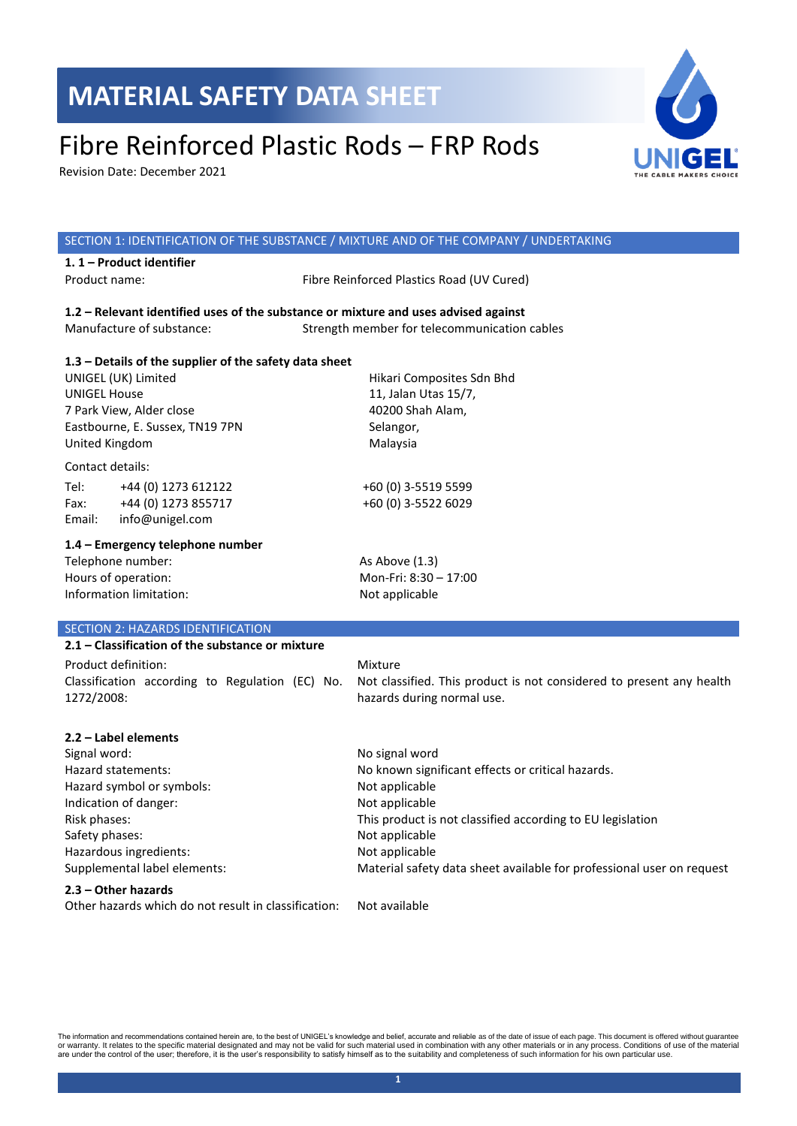# Fibre Reinforced Plastic Rods – FRP Rods

Revision Date: December 2021



| SECTION 1: IDENTIFICATION OF THE SUBSTANCE / MIXTURE AND OF THE COMPANY / UNDERTAKING |                                                                       |
|---------------------------------------------------------------------------------------|-----------------------------------------------------------------------|
| 1.1 - Product identifier                                                              |                                                                       |
| Product name:                                                                         | Fibre Reinforced Plastics Road (UV Cured)                             |
|                                                                                       |                                                                       |
| 1.2 - Relevant identified uses of the substance or mixture and uses advised against   |                                                                       |
| Manufacture of substance:                                                             | Strength member for telecommunication cables                          |
|                                                                                       |                                                                       |
| 1.3 - Details of the supplier of the safety data sheet                                |                                                                       |
| UNIGEL (UK) Limited                                                                   | Hikari Composites Sdn Bhd                                             |
| <b>UNIGEL House</b>                                                                   | 11, Jalan Utas 15/7,                                                  |
| 7 Park View, Alder close                                                              | 40200 Shah Alam,                                                      |
| Eastbourne, E. Sussex, TN19 7PN                                                       | Selangor,                                                             |
| United Kingdom                                                                        | Malaysia                                                              |
| Contact details:                                                                      |                                                                       |
| Tel:<br>+44 (0) 1273 612122                                                           | +60 (0) 3-5519 5599                                                   |
| +44 (0) 1273 855717<br>Fax:                                                           | +60 (0) 3-5522 6029                                                   |
| info@unigel.com<br>Email:                                                             |                                                                       |
|                                                                                       |                                                                       |
| 1.4 - Emergency telephone number                                                      |                                                                       |
| Telephone number:                                                                     | As Above $(1.3)$                                                      |
| Hours of operation:                                                                   | Mon-Fri: 8:30 - 17:00                                                 |
| Information limitation:                                                               | Not applicable                                                        |
|                                                                                       |                                                                       |
| SECTION 2: HAZARDS IDENTIFICATION                                                     |                                                                       |
| 2.1 – Classification of the substance or mixture                                      |                                                                       |
| Product definition:                                                                   | Mixture                                                               |
| Classification according to Regulation (EC) No.                                       | Not classified. This product is not considered to present any health  |
| 1272/2008:                                                                            | hazards during normal use.                                            |
|                                                                                       |                                                                       |
| 2.2 - Label elements                                                                  |                                                                       |
| Signal word:                                                                          | No signal word                                                        |
| Hazard statements:                                                                    | No known significant effects or critical hazards.                     |
| Hazard symbol or symbols:                                                             | Not applicable                                                        |
| Indication of danger:                                                                 | Not applicable                                                        |
| Risk phases:                                                                          | This product is not classified according to EU legislation            |
| Safety phases:                                                                        | Not applicable                                                        |
| Hazardous ingredients:                                                                | Not applicable                                                        |
| Supplemental label elements:                                                          | Material safety data sheet available for professional user on request |
|                                                                                       |                                                                       |
| 2.3 - Other hazards                                                                   |                                                                       |
| Other hazards which do not result in classification:                                  | Not available                                                         |

The information and recommendations contained herein are, to the best of UNIGEL's knowledge and belief, accurate and reliable as of the date of issue of each page. This document is offered without guarantee<br>or warranty. It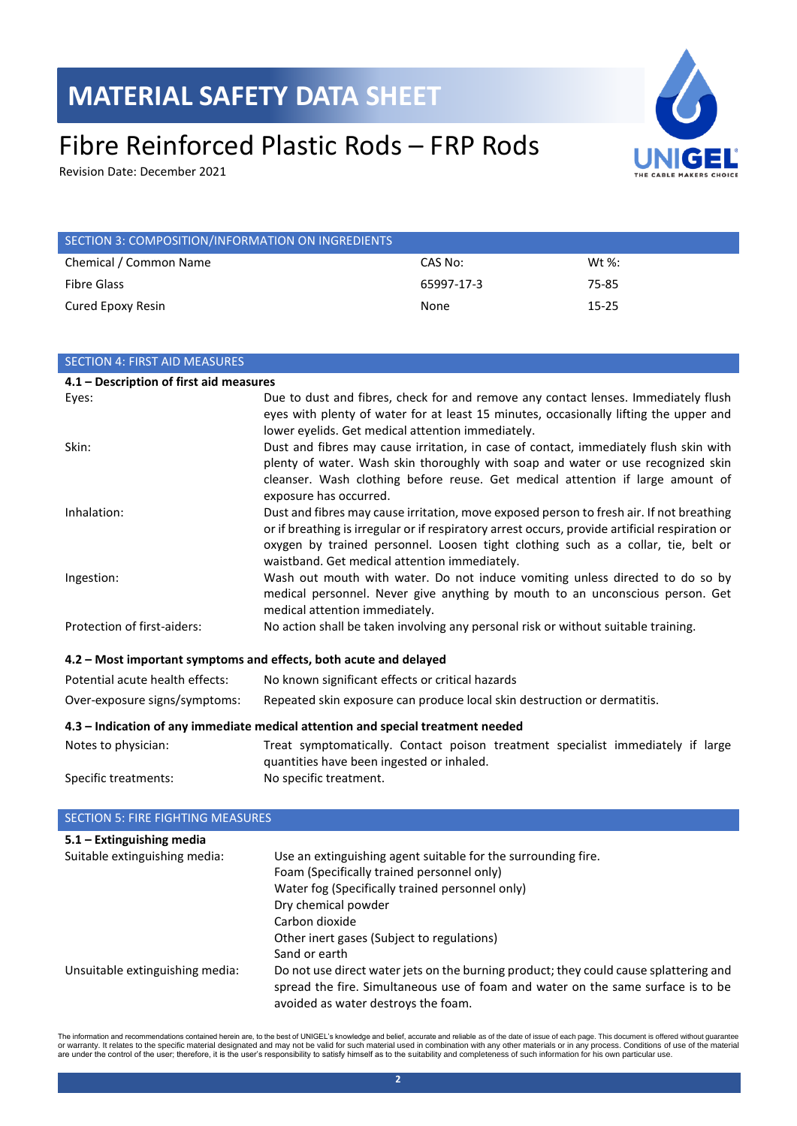# Fibre Reinforced Plastic Rods – FRP Rods

Revision Date: December 2021



| SECTION 3: COMPOSITION/INFORMATION ON INGREDIENTS |            |           |
|---------------------------------------------------|------------|-----------|
| Chemical / Common Name                            | CAS No:    | Wt $\%$ : |
| Fibre Glass                                       | 65997-17-3 | 75-85     |
| Cured Epoxy Resin                                 | None       | $15 - 25$ |

| <b>SECTION 4: FIRST AID MEASURES</b>                                             |                                                                                                                 |  |
|----------------------------------------------------------------------------------|-----------------------------------------------------------------------------------------------------------------|--|
| 4.1 - Description of first aid measures                                          |                                                                                                                 |  |
| Eyes:                                                                            | Due to dust and fibres, check for and remove any contact lenses. Immediately flush                              |  |
|                                                                                  | eyes with plenty of water for at least 15 minutes, occasionally lifting the upper and                           |  |
|                                                                                  | lower eyelids. Get medical attention immediately.                                                               |  |
| Skin:                                                                            | Dust and fibres may cause irritation, in case of contact, immediately flush skin with                           |  |
|                                                                                  | plenty of water. Wash skin thoroughly with soap and water or use recognized skin                                |  |
|                                                                                  | cleanser. Wash clothing before reuse. Get medical attention if large amount of<br>exposure has occurred.        |  |
| Inhalation:                                                                      | Dust and fibres may cause irritation, move exposed person to fresh air. If not breathing                        |  |
|                                                                                  | or if breathing is irregular or if respiratory arrest occurs, provide artificial respiration or                 |  |
|                                                                                  | oxygen by trained personnel. Loosen tight clothing such as a collar, tie, belt or                               |  |
|                                                                                  | waistband. Get medical attention immediately.                                                                   |  |
| Ingestion:                                                                       | Wash out mouth with water. Do not induce vomiting unless directed to do so by                                   |  |
|                                                                                  | medical personnel. Never give anything by mouth to an unconscious person. Get<br>medical attention immediately. |  |
| Protection of first-aiders:                                                      | No action shall be taken involving any personal risk or without suitable training.                              |  |
|                                                                                  |                                                                                                                 |  |
|                                                                                  | 4.2 – Most important symptoms and effects, both acute and delayed                                               |  |
| Potential acute health effects:                                                  | No known significant effects or critical hazards                                                                |  |
| Over-exposure signs/symptoms:                                                    | Repeated skin exposure can produce local skin destruction or dermatitis.                                        |  |
| 4.3 - Indication of any immediate medical attention and special treatment needed |                                                                                                                 |  |
| Notes to physician:                                                              | Treat symptomatically. Contact poison treatment specialist immediately if large                                 |  |
|                                                                                  | quantities have been ingested or inhaled.                                                                       |  |
| Specific treatments:                                                             | No specific treatment.                                                                                          |  |
|                                                                                  |                                                                                                                 |  |
| $\overline{C}$                                                                   |                                                                                                                 |  |

| <b>SECTION 5: FIRE FIGHTING MEASURES</b> |                                                                                                                                                                                                                  |
|------------------------------------------|------------------------------------------------------------------------------------------------------------------------------------------------------------------------------------------------------------------|
| $5.1 -$ Extinguishing media              |                                                                                                                                                                                                                  |
| Suitable extinguishing media:            | Use an extinguishing agent suitable for the surrounding fire.                                                                                                                                                    |
|                                          | Foam (Specifically trained personnel only)                                                                                                                                                                       |
|                                          | Water fog (Specifically trained personnel only)                                                                                                                                                                  |
|                                          | Dry chemical powder                                                                                                                                                                                              |
|                                          | Carbon dioxide                                                                                                                                                                                                   |
|                                          | Other inert gases (Subject to regulations)                                                                                                                                                                       |
|                                          | Sand or earth                                                                                                                                                                                                    |
| Unsuitable extinguishing media:          | Do not use direct water jets on the burning product; they could cause splattering and<br>spread the fire. Simultaneous use of foam and water on the same surface is to be<br>avoided as water destroys the foam. |

The information and recommendations contained herein are, to the best of UNIGEL's knowledge and belief, accurate and reliable as of the date of issue of each page. This document is offered without guarantee<br>or warranty. It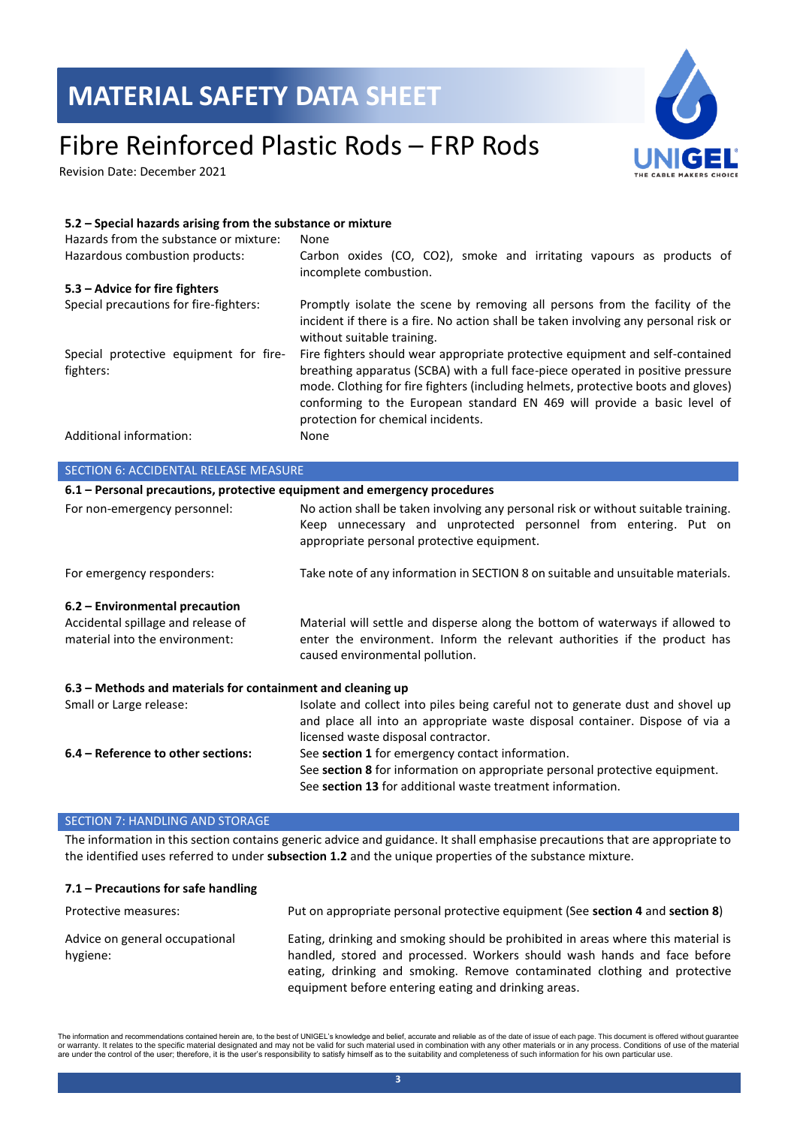### Fibre Reinforced Plastic Rods – FRP Rods

Revision Date: December 2021



### **5.2 – Special hazards arising from the substance or mixture** Hazards from the substance or mixture: None Hazardous combustion products: Carbon oxides (CO, CO2), smoke and irritating vapours as products of incomplete combustion. **5.3 – Advice for fire fighters** Special precautions for fire-fighters: Promptly isolate the scene by removing all persons from the facility of the incident if there is a fire. No action shall be taken involving any personal risk or without suitable training. Special protective equipment for firefighters: Fire fighters should wear appropriate protective equipment and self-contained breathing apparatus (SCBA) with a full face-piece operated in positive pressure mode. Clothing for fire fighters (including helmets, protective boots and gloves) conforming to the European standard EN 469 will provide a basic level of protection for chemical incidents. Additional information: None SECTION 6: ACCIDENTAL RELEASE MEASURE **6.1 – Personal precautions, protective equipment and emergency procedures** For non-emergency personnel: No action shall be taken involving any personal risk or without suitable training. Keep unnecessary and unprotected personnel from entering. Put on appropriate personal protective equipment.

For emergency responders: Take note of any information in SECTION 8 on suitable and unsuitable materials.

### **6.2 – Environmental precaution**

| Accidental spillage and release of | Material will settle and disperse along the bottom of waterways if allowed to |
|------------------------------------|-------------------------------------------------------------------------------|
| material into the environment:     | enter the environment. Inform the relevant authorities if the product has     |
|                                    | caused environmental pollution.                                               |

### **6.3 – Methods and materials for containment and cleaning up** Small or Large release: Isolate and collect into piles being careful not to generate dust and shovel up and place all into an appropriate waste disposal container. Dispose of via a

licensed waste disposal contractor. **6.4 – Reference to other sections:** See **section 1** for emergency contact information. See **section 8** for information on appropriate personal protective equipment. See **section 13** for additional waste treatment information.

#### SECTION 7: HANDLING AND STORAGE

The information in this section contains generic advice and guidance. It shall emphasise precautions that are appropriate to the identified uses referred to under **subsection 1.2** and the unique properties of the substance mixture.

#### **7.1 – Precautions for safe handling**

| Protective measures:                       | Put on appropriate personal protective equipment (See section 4 and section 8)                                                                                                                                                                                                                     |
|--------------------------------------------|----------------------------------------------------------------------------------------------------------------------------------------------------------------------------------------------------------------------------------------------------------------------------------------------------|
| Advice on general occupational<br>hygiene: | Eating, drinking and smoking should be prohibited in areas where this material is<br>handled, stored and processed. Workers should wash hands and face before<br>eating, drinking and smoking. Remove contaminated clothing and protective<br>equipment before entering eating and drinking areas. |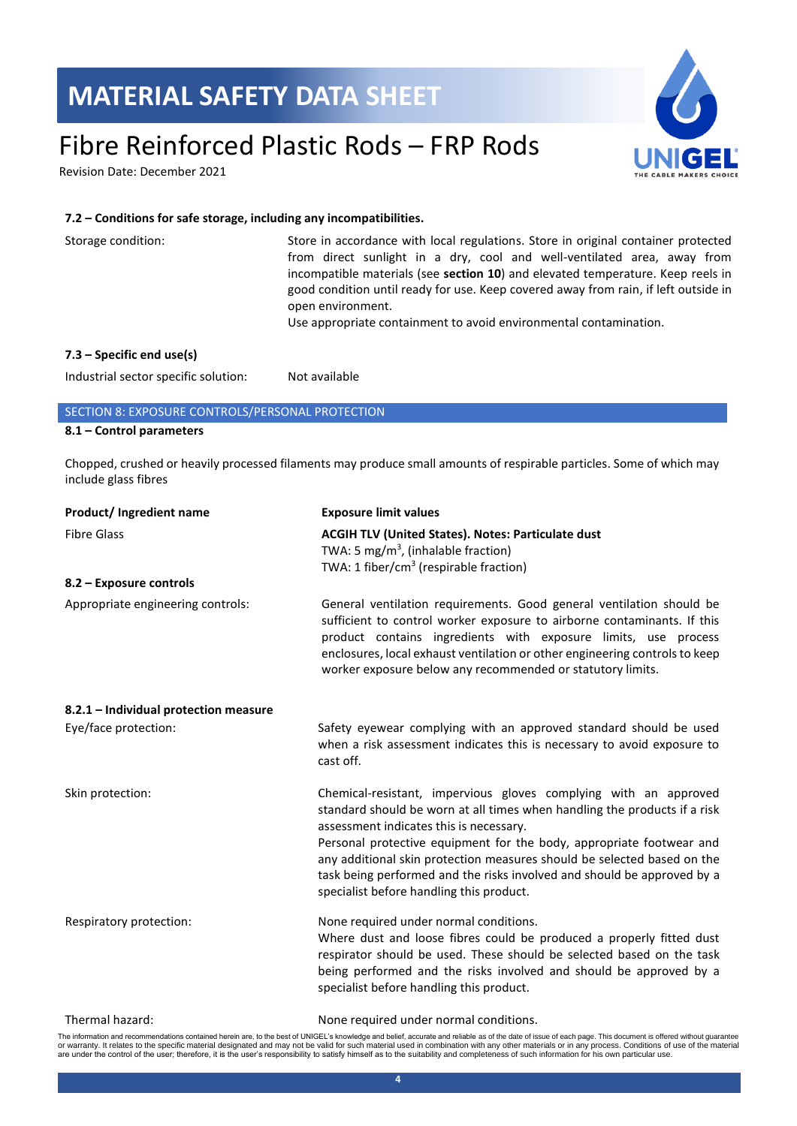### Fibre Reinforced Plastic Rods – FRP Rods

Revision Date: December 2021



#### **7.2 – Conditions for safe storage, including any incompatibilities.**

| Storage condition:          | Store in accordance with local regulations. Store in original container protected<br>from direct sunlight in a dry, cool and well-ventilated area, away from<br>incompatible materials (see <b>section 10</b> ) and elevated temperature. Keep reels in<br>good condition until ready for use. Keep covered away from rain, if left outside in<br>open environment.<br>Use appropriate containment to avoid environmental contamination. |
|-----------------------------|------------------------------------------------------------------------------------------------------------------------------------------------------------------------------------------------------------------------------------------------------------------------------------------------------------------------------------------------------------------------------------------------------------------------------------------|
| $7.3$ – Specific end use(s) |                                                                                                                                                                                                                                                                                                                                                                                                                                          |

Industrial sector specific solution: Not available

### SECTION 8: EXPOSURE CONTROLS/PERSONAL PROTECTION

### **8.1 – Control parameters**

Chopped, crushed or heavily processed filaments may produce small amounts of respirable particles. Some of which may include glass fibres

| Product/Ingredient name               | <b>Exposure limit values</b>                                                                                                                                                                                                                                                                                                                                                                                                                                       |
|---------------------------------------|--------------------------------------------------------------------------------------------------------------------------------------------------------------------------------------------------------------------------------------------------------------------------------------------------------------------------------------------------------------------------------------------------------------------------------------------------------------------|
| <b>Fibre Glass</b>                    | <b>ACGIH TLV (United States). Notes: Particulate dust</b><br>TWA: 5 mg/m <sup>3</sup> , (inhalable fraction)<br>TWA: 1 fiber/cm <sup>3</sup> (respirable fraction)                                                                                                                                                                                                                                                                                                 |
| 8.2 - Exposure controls               |                                                                                                                                                                                                                                                                                                                                                                                                                                                                    |
| Appropriate engineering controls:     | General ventilation requirements. Good general ventilation should be<br>sufficient to control worker exposure to airborne contaminants. If this<br>product contains ingredients with exposure limits, use process<br>enclosures, local exhaust ventilation or other engineering controls to keep<br>worker exposure below any recommended or statutory limits.                                                                                                     |
| 8.2.1 - Individual protection measure |                                                                                                                                                                                                                                                                                                                                                                                                                                                                    |
| Eye/face protection:                  | Safety eyewear complying with an approved standard should be used<br>when a risk assessment indicates this is necessary to avoid exposure to<br>cast off.                                                                                                                                                                                                                                                                                                          |
| Skin protection:                      | Chemical-resistant, impervious gloves complying with an approved<br>standard should be worn at all times when handling the products if a risk<br>assessment indicates this is necessary.<br>Personal protective equipment for the body, appropriate footwear and<br>any additional skin protection measures should be selected based on the<br>task being performed and the risks involved and should be approved by a<br>specialist before handling this product. |
| Respiratory protection:               | None required under normal conditions.<br>Where dust and loose fibres could be produced a properly fitted dust<br>respirator should be used. These should be selected based on the task<br>being performed and the risks involved and should be approved by a<br>specialist before handling this product.                                                                                                                                                          |
| Thermal hazard:                       | None required under normal conditions.                                                                                                                                                                                                                                                                                                                                                                                                                             |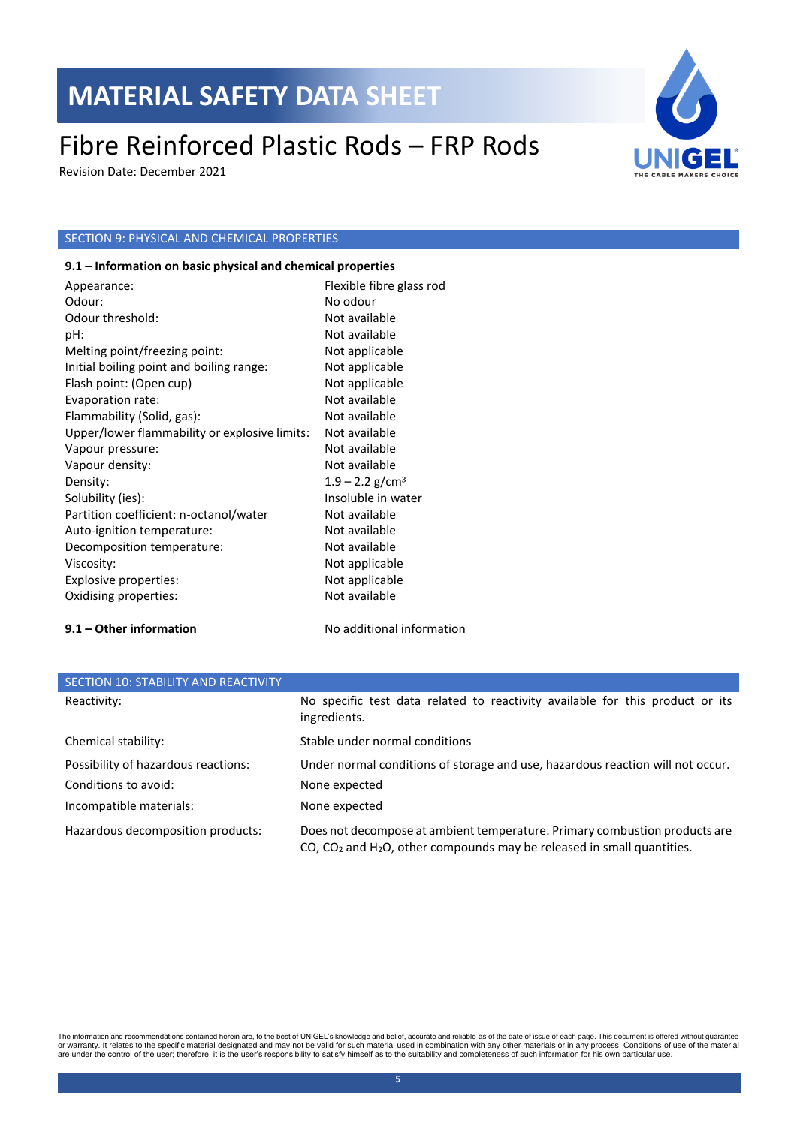### Fibre Reinforced Plastic Rods – FRP Rods

Revision Date: December 2021

### SECTION 9: PHYSICAL AND CHEMICAL PROPERTIES

#### **9.1 – Information on basic physical and chemical properties**

Appearance: Flexible fibre glass rod Odour: No odour: Odour threshold: Not available pH: Not available Melting point/freezing point: Not applicable Initial boiling point and boiling range: Not applicable Flash point: (Open cup) Not applicable Evaporation rate: Not available Flammability (Solid, gas): Not available Upper/lower flammability or explosive limits: Not available Vapour pressure: Not available Vapour density: Not available Density:  $1.9 - 2.2$  g/cm<sup>3</sup> Solubility (ies): Insoluble in water Partition coefficient: n-octanol/water Mot available Auto-ignition temperature: Not available Decomposition temperature: Not available Viscosity: Not applicable Explosive properties: Not applicable Oxidising properties: Not available

### **9.1 – Other information** No additional information

| SECTION 10: STABILITY AND REACTIVITY |                                                                                                                                                                       |
|--------------------------------------|-----------------------------------------------------------------------------------------------------------------------------------------------------------------------|
| Reactivity:                          | No specific test data related to reactivity available for this product or its<br>ingredients.                                                                         |
| Chemical stability:                  | Stable under normal conditions                                                                                                                                        |
| Possibility of hazardous reactions:  | Under normal conditions of storage and use, hazardous reaction will not occur.                                                                                        |
| Conditions to avoid:                 | None expected                                                                                                                                                         |
| Incompatible materials:              | None expected                                                                                                                                                         |
| Hazardous decomposition products:    | Does not decompose at ambient temperature. Primary combustion products are<br>$CO$ , $CO2$ and H <sub>2</sub> O, other compounds may be released in small quantities. |

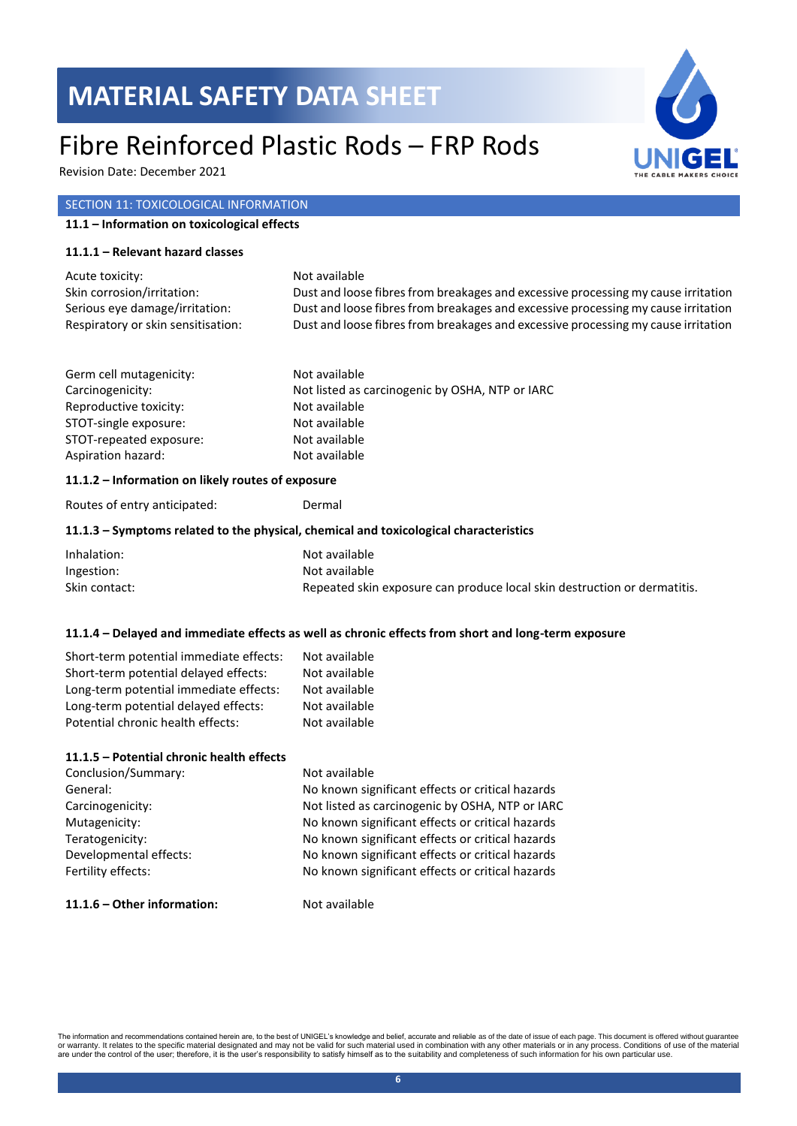### Fibre Reinforced Plastic Rods – FRP Rods

Revision Date: December 2021

### SECTION 11: TOXICOLOGICAL INFORMATION

#### **11.1 – Information on toxicological effects**

#### **11.1.1 – Relevant hazard classes**

| Acute toxicity:                    | Not available                                                                     |
|------------------------------------|-----------------------------------------------------------------------------------|
| Skin corrosion/irritation:         | Dust and loose fibres from breakages and excessive processing my cause irritation |
| Serious eye damage/irritation:     | Dust and loose fibres from breakages and excessive processing my cause irritation |
| Respiratory or skin sensitisation: | Dust and loose fibres from breakages and excessive processing my cause irritation |

| Germ cell mutagenicity: | Not available                                   |
|-------------------------|-------------------------------------------------|
| Carcinogenicity:        | Not listed as carcinogenic by OSHA, NTP or IARC |
| Reproductive toxicity:  | Not available                                   |
| STOT-single exposure:   | Not available                                   |
| STOT-repeated exposure: | Not available                                   |
| Aspiration hazard:      | Not available                                   |

#### **11.1.2 – Information on likely routes of exposure**

Routes of entry anticipated: Dermal

#### **11.1.3 – Symptoms related to the physical, chemical and toxicological characteristics**

| Inhalation:   | Not available                                                            |
|---------------|--------------------------------------------------------------------------|
| Ingestion:    | Not available                                                            |
| Skin contact: | Repeated skin exposure can produce local skin destruction or dermatitis. |

#### **11.1.4 – Delayed and immediate effects as well as chronic effects from short and long-term exposure**

| Short-term potential immediate effects: | Not available |
|-----------------------------------------|---------------|
| Short-term potential delayed effects:   | Not available |
| Long-term potential immediate effects:  | Not available |
| Long-term potential delayed effects:    | Not available |
| Potential chronic health effects:       | Not available |

### **11.1.5 – Potential chronic health effects**

| Conclusion/Summary:    | Not available                                    |
|------------------------|--------------------------------------------------|
| General:               | No known significant effects or critical hazards |
| Carcinogenicity:       | Not listed as carcinogenic by OSHA, NTP or IARC  |
| Mutagenicity:          | No known significant effects or critical hazards |
| Teratogenicity:        | No known significant effects or critical hazards |
| Developmental effects: | No known significant effects or critical hazards |
| Fertility effects:     | No known significant effects or critical hazards |
|                        |                                                  |

#### **11.1.6 – Other information:** Not available

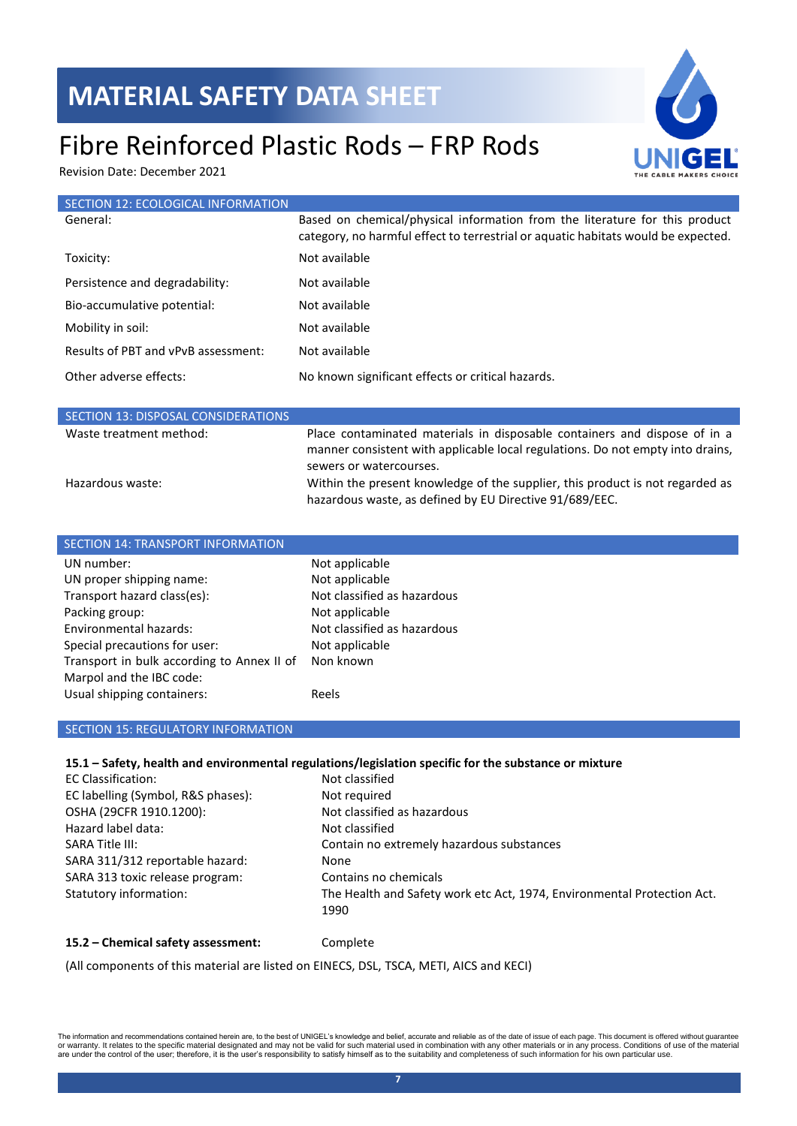### Fibre Reinforced Plastic Rods – FRP Rods

Revision Date: December 2021



| SECTION 12: ECOLOGICAL INFORMATION  |                                                                                                                                                                  |
|-------------------------------------|------------------------------------------------------------------------------------------------------------------------------------------------------------------|
| General:                            | Based on chemical/physical information from the literature for this product<br>category, no harmful effect to terrestrial or aquatic habitats would be expected. |
| Toxicity:                           | Not available                                                                                                                                                    |
| Persistence and degradability:      | Not available                                                                                                                                                    |
| Bio-accumulative potential:         | Not available                                                                                                                                                    |
| Mobility in soil:                   | Not available                                                                                                                                                    |
| Results of PBT and vPvB assessment: | Not available                                                                                                                                                    |
| Other adverse effects:              | No known significant effects or critical hazards.                                                                                                                |

| SECTION 13: DISPOSAL CONSIDERATIONS |                                                                                                                                                                                        |
|-------------------------------------|----------------------------------------------------------------------------------------------------------------------------------------------------------------------------------------|
| Waste treatment method:             | Place contaminated materials in disposable containers and dispose of in a<br>manner consistent with applicable local regulations. Do not empty into drains,<br>sewers or watercourses. |
| Hazardous waste:                    | Within the present knowledge of the supplier, this product is not regarded as<br>hazardous waste, as defined by EU Directive 91/689/EEC.                                               |

| <b>SECTION 14: TRANSPORT INFORMATION</b>   |                             |
|--------------------------------------------|-----------------------------|
| UN number:                                 | Not applicable              |
| UN proper shipping name:                   | Not applicable              |
| Transport hazard class(es):                | Not classified as hazardous |
| Packing group:                             | Not applicable              |
| Environmental hazards:                     | Not classified as hazardous |
| Special precautions for user:              | Not applicable              |
| Transport in bulk according to Annex II of | Non known                   |
| Marpol and the IBC code:                   |                             |
| Usual shipping containers:                 | Reels                       |

#### SECTION 15: REGULATORY INFORMATION

#### **15.1 – Safety, health and environmental regulations/legislation specific for the substance or mixture**

| <b>EC Classification:</b>          | Not classified                                                                  |
|------------------------------------|---------------------------------------------------------------------------------|
| EC labelling (Symbol, R&S phases): | Not required                                                                    |
| OSHA (29CFR 1910.1200):            | Not classified as hazardous                                                     |
| Hazard label data:                 | Not classified                                                                  |
| SARA Title III:                    | Contain no extremely hazardous substances                                       |
| SARA 311/312 reportable hazard:    | None                                                                            |
| SARA 313 toxic release program:    | Contains no chemicals                                                           |
| Statutory information:             | The Health and Safety work etc Act, 1974, Environmental Protection Act.<br>1990 |

#### **15.2 – Chemical safety assessment:** Complete

(All components of this material are listed on EINECS, DSL, TSCA, METI, AICS and KECI)